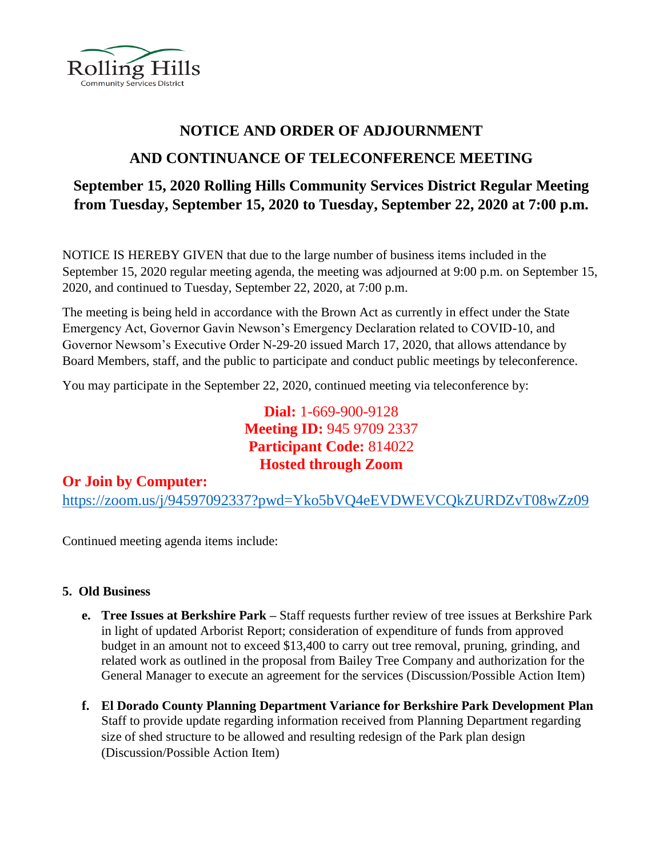

## **NOTICE AND ORDER OF ADJOURNMENT**

# **AND CONTINUANCE OF TELECONFERENCE MEETING**

# **September 15, 2020 Rolling Hills Community Services District Regular Meeting from Tuesday, September 15, 2020 to Tuesday, September 22, 2020 at 7:00 p.m.**

NOTICE IS HEREBY GIVEN that due to the large number of business items included in the September 15, 2020 regular meeting agenda, the meeting was adjourned at 9:00 p.m. on September 15, 2020, and continued to Tuesday, September 22, 2020, at 7:00 p.m.

The meeting is being held in accordance with the Brown Act as currently in effect under the State Emergency Act, Governor Gavin Newson's Emergency Declaration related to COVID-10, and Governor Newsom's Executive Order N-29-20 issued March 17, 2020, that allows attendance by Board Members, staff, and the public to participate and conduct public meetings by teleconference.

You may participate in the September 22, 2020, continued meeting via teleconference by:

**Dial:** 1-669-900-9128 **Meeting ID:** 945 9709 2337 **Participant Code:** 814022 **Hosted through Zoom**

### **Or Join by Computer:**

<https://zoom.us/j/94597092337?pwd=Yko5bVQ4eEVDWEVCQkZURDZvT08wZz09>

Continued meeting agenda items include:

#### **5. Old Business**

- **e. Tree Issues at Berkshire Park –** Staff requests further review of tree issues at Berkshire Park in light of updated Arborist Report; consideration of expenditure of funds from approved budget in an amount not to exceed \$13,400 to carry out tree removal, pruning, grinding, and related work as outlined in the proposal from Bailey Tree Company and authorization for the General Manager to execute an agreement for the services (Discussion/Possible Action Item)
- **f. El Dorado County Planning Department Variance for Berkshire Park Development Plan** Staff to provide update regarding information received from Planning Department regarding size of shed structure to be allowed and resulting redesign of the Park plan design (Discussion/Possible Action Item)